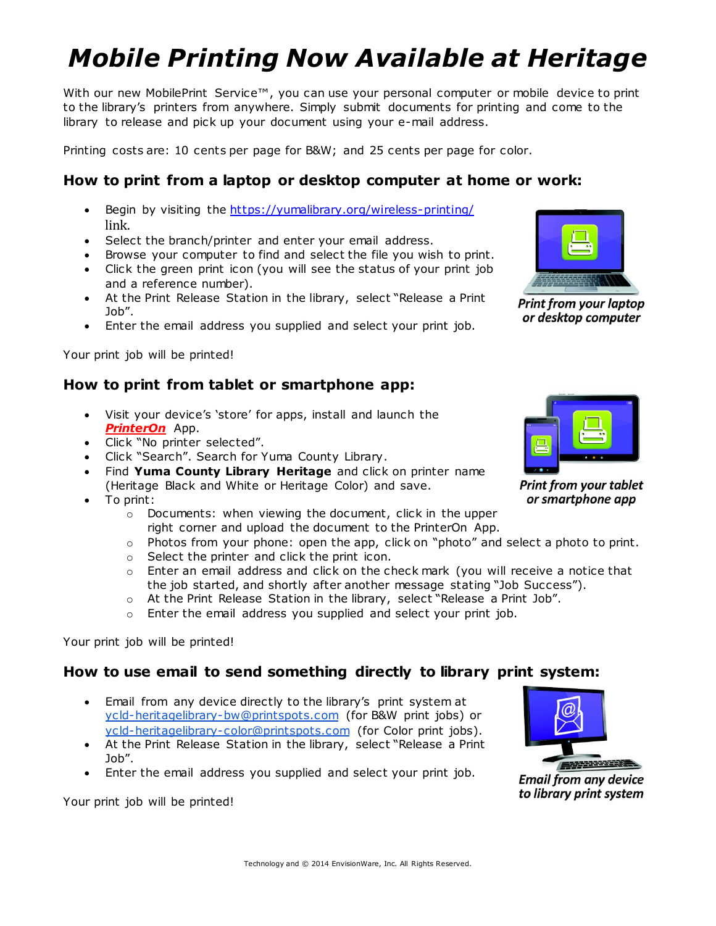# *Mobile Printing Now Available at Heritage*

With our new MobilePrint Service™, you can use your personal computer or mobile device to print to the library's printers from anywhere. Simply submit documents for printing and come to the library to release and pick up your document using your e-mail address.

Printing costs are: 10 cents per page for B&W; and 25 cents per page for color.

### **How to print from a laptop or desktop computer at home or work:**

- Begin by visiting the <https://yumalibrary.org/wireless-printing/> link.
- Select the branch/printer and enter your email address.
- Browse your computer to find and select the file you wish to print.
- Click the green print icon (you will see the status of your print job and a reference number).
- At the Print Release Station in the library, select "Release a Print Job".
- Enter the email address you supplied and select your print job.

Your print job will be printed!

#### **How to print from tablet or smartphone app:**

- Visit your device's 'store' for apps, install and launch the *PrinterOn* App.
- Click "No printer selected".
- Click "Search". Search for Yuma County Library.
- Find **Yuma County Library Heritage** and click on printer name (Heritage Black and White or Heritage Color) and save.
- To print:
	- o Documents: when viewing the document, click in the upper right corner and upload the document to the PrinterOn App.
	- $\circ$  Photos from your phone: open the app, click on "photo" and select a photo to print.
	- o Select the printer and click the print icon.
	- o Enter an email address and click on the check mark (you will receive a notice that the job started, and shortly after another message stating "Job Success").
	- o At the Print Release Station in the library, select "Release a Print Job".
	- $\circ$  Enter the email address you supplied and select your print job.

Your print job will be printed!

#### **How to use email to send something directly to library print system:**

- Email from any device directly to the library's print system at [ycld-heritagelibrary-bw@printspots.com](mailto:ycld-heritagelibrary-bw@printspots.com) (for B&W print jobs) or [ycld-heritagelibrary-color@printspots.com](mailto:ycld-heritagelibrary-color@printspots.com) (for Color print jobs).
- At the Print Release Station in the library, select "Release a Print Job".
- Enter the email address you supplied and select your print job.

Your print job will be printed!



**Print from your laptop** or desktop computer



**Print from your tablet** or smartphone app



**Email from any device** to library print system